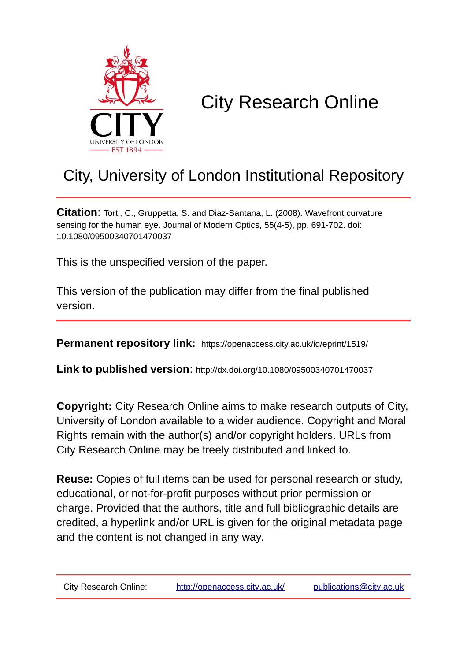

# City Research Online

## City, University of London Institutional Repository

**Citation**: Torti, C., Gruppetta, S. and Diaz-Santana, L. (2008). Wavefront curvature sensing for the human eye. Journal of Modern Optics, 55(4-5), pp. 691-702. doi: 10.1080/09500340701470037

This is the unspecified version of the paper.

This version of the publication may differ from the final published version.

**Permanent repository link:** https://openaccess.city.ac.uk/id/eprint/1519/

**Link to published version**: http://dx.doi.org/10.1080/09500340701470037

**Copyright:** City Research Online aims to make research outputs of City, University of London available to a wider audience. Copyright and Moral Rights remain with the author(s) and/or copyright holders. URLs from City Research Online may be freely distributed and linked to.

**Reuse:** Copies of full items can be used for personal research or study, educational, or not-for-profit purposes without prior permission or charge. Provided that the authors, title and full bibliographic details are credited, a hyperlink and/or URL is given for the original metadata page and the content is not changed in any way.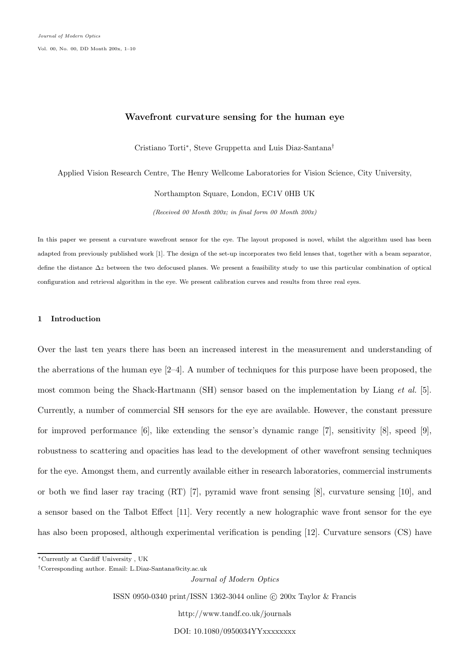### **Wavefront curvature sensing for the human eye**

Cristiano Torti∗, Steve Gruppetta and Luis Diaz-Santana†

Applied Vision Research Centre, The Henry Wellcome Laboratories for Vision Science, City University, Northampton Square, London, EC1V 0HB UK

*(Received 00 Month 200x; in final form 00 Month 200x)*

In this paper we present a curvature wavefront sensor for the eye. The layout proposed is novel, whilst the algorithm used has been adapted from previously published work [1]. The design of the set-up incorporates two field lenses that, together with a beam separator, define the distance ∆*z* between the two defocused planes. We present a feasibility study to use this particular combination of optical configuration and retrieval algorithm in the eye. We present calibration curves and results from three real eyes.

#### **1 Introduction**

Over the last ten years there has been an increased interest in the measurement and understanding of the aberrations of the human eye  $[2-4]$ . A number of techniques for this purpose have been proposed, the most common being the Shack-Hartmann (SH) sensor based on the implementation by Liang *et al.* [5]. Currently, a number of commercial SH sensors for the eye are available. However, the constant pressure for improved performance [6], like extending the sensor's dynamic range [7], sensitivity [8], speed [9], robustness to scattering and opacities has lead to the development of other wavefront sensing techniques for the eye. Amongst them, and currently available either in research laboratories, commercial instruments or both we find laser ray tracing (RT) [7], pyramid wave front sensing [8], curvature sensing [10], and a sensor based on the Talbot Effect [11]. Very recently a new holographic wave front sensor for the eye has also been proposed, although experimental verification is pending [12]. Curvature sensors (CS) have

*Journal of Modern Optics*

ISSN 0950-0340 print/ISSN 1362-3044 online © 200x Taylor & Francis

http://www.tandf.co.uk/journals

DOI: 10.1080/0950034YYxxxxxxxx

<sup>∗</sup>Currently at Cardiff University , UK

<sup>†</sup>Corresponding author. Email: L.Diaz-Santana@city.ac.uk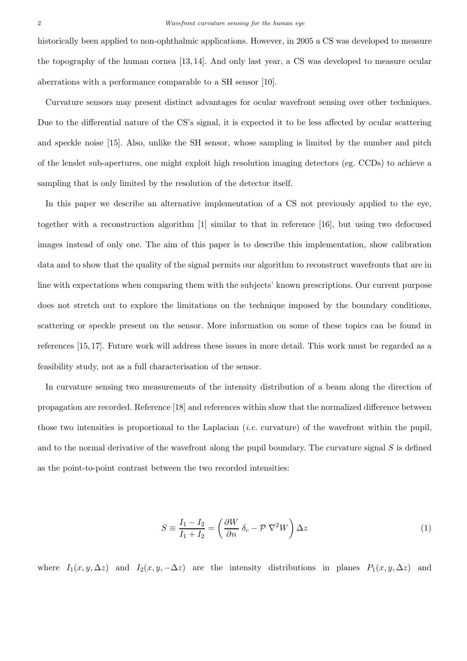historically been applied to non-ophthalmic applications. However, in 2005 a CS was developed to measure the topography of the human cornea [13, 14]. And only last year, a CS was developed to measure ocular aberrations with a performance comparable to a SH sensor [10].

Curvature sensors may present distinct advantages for ocular wavefront sensing over other techniques. Due to the differential nature of the CS's signal, it is expected it to be less affected by ocular scattering and speckle noise [15]. Also, unlike the SH sensor, whose sampling is limited by the number and pitch of the lenslet sub-apertures, one might exploit high resolution imaging detectors (eg. CCDs) to achieve a sampling that is only limited by the resolution of the detector itself.

In this paper we describe an alternative implementation of a CS not previously applied to the eye, together with a reconstruction algorithm [1] similar to that in reference [16], but using two defocused images instead of only one. The aim of this paper is to describe this implementation, show calibration data and to show that the quality of the signal permits our algorithm to reconstruct wavefronts that are in line with expectations when comparing them with the subjects' known prescriptions. Our current purpose does not stretch out to explore the limitations on the technique imposed by the boundary conditions, scattering or speckle present on the sensor. More information on some of these topics can be found in references [15, 17]. Future work will address these issues in more detail. This work must be regarded as a feasibility study, not as a full characterisation of the sensor.

In curvature sensing two measurements of the intensity distribution of a beam along the direction of propagation are recorded. Reference [18] and references within show that the normalized difference between those two intensities is proportional to the Laplacian (*i.e.* curvature) of the wavefront within the pupil, and to the normal derivative of the wavefront along the pupil boundary. The curvature signal S is defined as the point-to-point contrast between the two recorded intensities:

$$
S \equiv \frac{I_1 - I_2}{I_1 + I_2} = \left(\frac{\partial W}{\partial n} \ \delta_c - \mathcal{P} \ \nabla^2 W\right) \Delta z \tag{1}
$$

where  $I_1(x, y, \Delta z)$  and  $I_2(x, y, -\Delta z)$  are the intensity distributions in planes  $P_1(x, y, \Delta z)$  and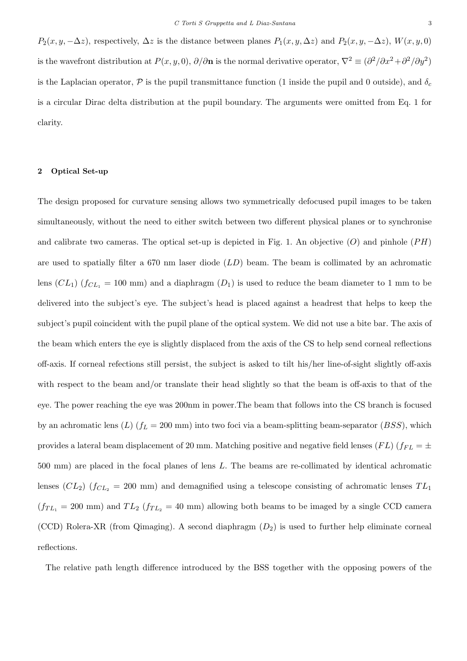$P_2(x, y, -\Delta z)$ , respectively,  $\Delta z$  is the distance between planes  $P_1(x, y, \Delta z)$  and  $P_2(x, y, -\Delta z)$ ,  $W(x, y, 0)$ is the wavefront distribution at  $P(x, y, 0)$ ,  $\partial/\partial n$  is the normal derivative operator,  $\nabla^2 \equiv (\partial^2/\partial x^2 + \partial^2/\partial y^2)$ is the Laplacian operator,  $\mathcal P$  is the pupil transmittance function (1 inside the pupil and 0 outside), and  $\delta_c$ is a circular Dirac delta distribution at the pupil boundary. The arguments were omitted from Eq. 1 for clarity.

#### **2 Optical Set-up**

The design proposed for curvature sensing allows two symmetrically defocused pupil images to be taken simultaneously, without the need to either switch between two different physical planes or to synchronise and calibrate two cameras. The optical set-up is depicted in Fig. 1. An objective  $(O)$  and pinhole  $(PH)$ are used to spatially filter a 670 nm laser diode  $(LD)$  beam. The beam is collimated by an achromatic lens  $(CL_1)$  ( $f_{CL_1} = 100$  mm) and a diaphragm  $(D_1)$  is used to reduce the beam diameter to 1 mm to be delivered into the subject's eye. The subject's head is placed against a headrest that helps to keep the subject's pupil coincident with the pupil plane of the optical system. We did not use a bite bar. The axis of the beam which enters the eye is slightly displaced from the axis of the CS to help send corneal reflections off-axis. If corneal refections still persist, the subject is asked to tilt his/her line-of-sight slightly off-axis with respect to the beam and/or translate their head slightly so that the beam is off-axis to that of the eye. The power reaching the eye was 200nm in power.The beam that follows into the CS branch is focused by an achromatic lens  $(L)$  ( $f_L = 200$  mm) into two foci via a beam-splitting beam-separator (*BSS*), which provides a lateral beam displacement of 20 mm. Matching positive and negative field lenses ( $FL$ ) ( $f_{FL} = \pm$ 500 mm) are placed in the focal planes of lens L. The beams are re-collimated by identical achromatic lenses  $(CL_2)$  ( $f_{CL_2}$  = 200 mm) and demagnified using a telescope consisting of achromatic lenses  $TL_1$  $(f_{TL_1} = 200 \text{ mm})$  and  $TL_2$   $(f_{TL_2} = 40 \text{ mm})$  allowing both beams to be imaged by a single CCD camera (CCD) Rolera-XR (from Qimaging). A second diaphragm  $(D_2)$  is used to further help eliminate corneal reflections.

The relative path length difference introduced by the BSS together with the opposing powers of the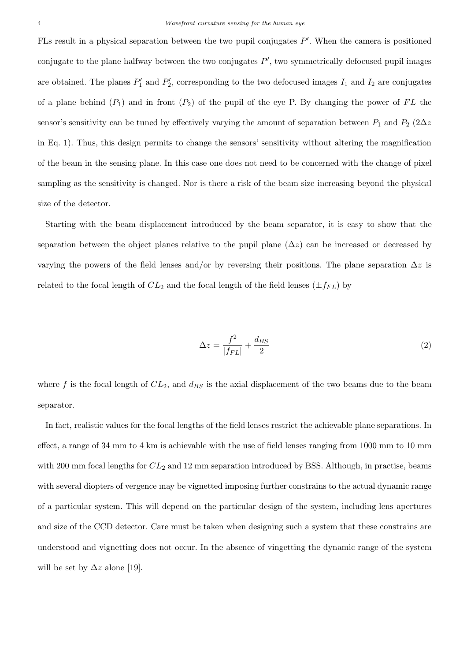FLs result in a physical separation between the two pupil conjugates  $P'$ . When the camera is positioned conjugate to the plane halfway between the two conjugates  $P'$ , two symmetrically defocused pupil images are obtained. The planes  $P'_1$  and  $P'_2$ , corresponding to the two defocused images  $I_1$  and  $I_2$  are conjugates of a plane behind  $(P_1)$  and in front  $(P_2)$  of the pupil of the eye P. By changing the power of FL the sensor's sensitivity can be tuned by effectively varying the amount of separation between  $P_1$  and  $P_2$  (2 $\Delta z$ in Eq. 1). Thus, this design permits to change the sensors' sensitivity without altering the magnification of the beam in the sensing plane. In this case one does not need to be concerned with the change of pixel sampling as the sensitivity is changed. Nor is there a risk of the beam size increasing beyond the physical size of the detector.

Starting with the beam displacement introduced by the beam separator, it is easy to show that the separation between the object planes relative to the pupil plane  $(\Delta z)$  can be increased or decreased by varying the powers of the field lenses and/or by reversing their positions. The plane separation  $\Delta z$  is related to the focal length of  $CL_2$  and the focal length of the field lenses  $(\pm f_{FL})$  by

$$
\Delta z = \frac{f^2}{|f_{FL}|} + \frac{d_{BS}}{2} \tag{2}
$$

where f is the focal length of  $CL_2$ , and  $d_{BS}$  is the axial displacement of the two beams due to the beam separator.

In fact, realistic values for the focal lengths of the field lenses restrict the achievable plane separations. In effect, a range of 34 mm to 4 km is achievable with the use of field lenses ranging from 1000 mm to 10 mm with 200 mm focal lengths for  $CL_2$  and 12 mm separation introduced by BSS. Although, in practise, beams with several diopters of vergence may be vignetted imposing further constrains to the actual dynamic range of a particular system. This will depend on the particular design of the system, including lens apertures and size of the CCD detector. Care must be taken when designing such a system that these constrains are understood and vignetting does not occur. In the absence of vingetting the dynamic range of the system will be set by  $\Delta z$  alone [19].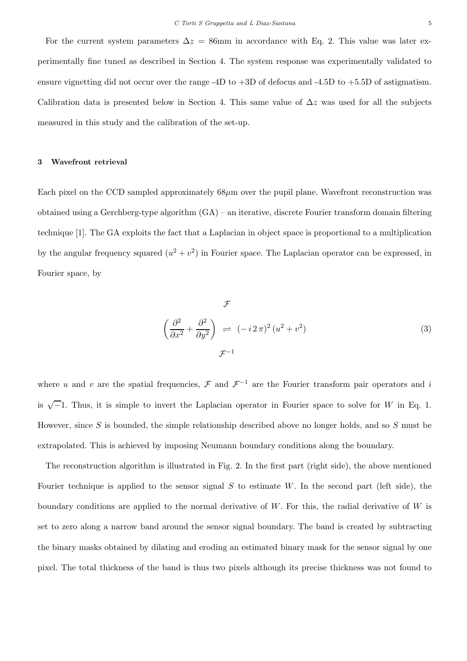For the current system parameters  $\Delta z = 86$ mm in accordance with Eq. 2. This value was later experimentally fine tuned as described in Section 4. The system response was experimentally validated to ensure vignetting did not occur over the range -4D to  $+3D$  of defocus and -4.5D to  $+5.5D$  of astigmatism. Calibration data is presented below in Section 4. This same value of  $\Delta z$  was used for all the subjects measured in this study and the calibration of the set-up.

#### **3 Wavefront retrieval**

Each pixel on the CCD sampled approximately  $68\mu$ m over the pupil plane. Wavefront reconstruction was obtained using a Gerchberg-type algorithm (GA) – an iterative, discrete Fourier transform domain filtering technique [1]. The GA exploits the fact that a Laplacian in object space is proportional to a multiplication by the angular frequency squared  $(u^2 + v^2)$  in Fourier space. The Laplacian operator can be expressed, in Fourier space, by

$$
\mathcal{F}
$$
\n
$$
\left(\frac{\partial^2}{\partial x^2} + \frac{\partial^2}{\partial y^2}\right) \rightleftharpoons (-i2\pi)^2 (u^2 + v^2)
$$
\n
$$
\mathcal{F}^{-1}
$$
\n(3)

where u and v are the spatial frequencies,  $\mathcal F$  and  $\mathcal F^{-1}$  are the Fourier transform pair operators and i is  $\sqrt{-1}$ . Thus, it is simple to invert the Laplacian operator in Fourier space to solve for W in Eq. 1. However, since S is bounded, the simple relationship described above no longer holds, and so S must be extrapolated. This is achieved by imposing Neumann boundary conditions along the boundary.

The reconstruction algorithm is illustrated in Fig. 2. In the first part (right side), the above mentioned Fourier technique is applied to the sensor signal S to estimate W. In the second part (left side), the boundary conditions are applied to the normal derivative of  $W$ . For this, the radial derivative of  $W$  is set to zero along a narrow band around the sensor signal boundary. The band is created by subtracting the binary masks obtained by dilating and eroding an estimated binary mask for the sensor signal by one pixel. The total thickness of the band is thus two pixels although its precise thickness was not found to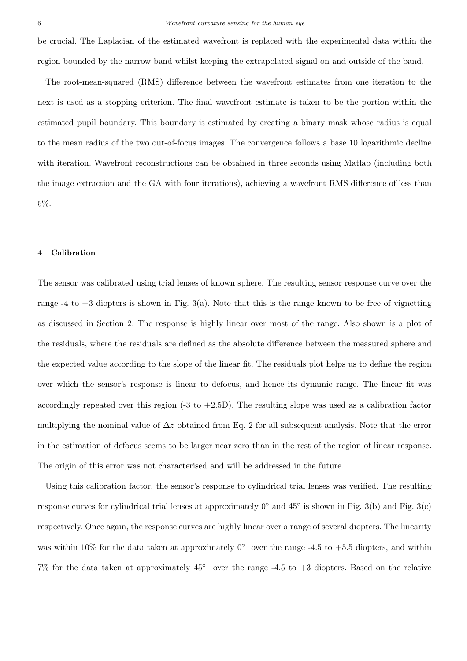be crucial. The Laplacian of the estimated wavefront is replaced with the experimental data within the region bounded by the narrow band whilst keeping the extrapolated signal on and outside of the band.

The root-mean-squared (RMS) difference between the wavefront estimates from one iteration to the next is used as a stopping criterion. The final wavefront estimate is taken to be the portion within the estimated pupil boundary. This boundary is estimated by creating a binary mask whose radius is equal to the mean radius of the two out-of-focus images. The convergence follows a base 10 logarithmic decline with iteration. Wavefront reconstructions can be obtained in three seconds using Matlab (including both the image extraction and the GA with four iterations), achieving a wavefront RMS difference of less than 5%.

#### **4 Calibration**

The sensor was calibrated using trial lenses of known sphere. The resulting sensor response curve over the range  $-4$  to  $+3$  diopters is shown in Fig. 3(a). Note that this is the range known to be free of vignetting as discussed in Section 2. The response is highly linear over most of the range. Also shown is a plot of the residuals, where the residuals are defined as the absolute difference between the measured sphere and the expected value according to the slope of the linear fit. The residuals plot helps us to define the region over which the sensor's response is linear to defocus, and hence its dynamic range. The linear fit was accordingly repeated over this region  $(-3 \text{ to } +2.5D)$ . The resulting slope was used as a calibration factor multiplying the nominal value of  $\Delta z$  obtained from Eq. 2 for all subsequent analysis. Note that the error in the estimation of defocus seems to be larger near zero than in the rest of the region of linear response. The origin of this error was not characterised and will be addressed in the future.

Using this calibration factor, the sensor's response to cylindrical trial lenses was verified. The resulting response curves for cylindrical trial lenses at approximately  $0^{\circ}$  and  $45^{\circ}$  is shown in Fig. 3(b) and Fig. 3(c) respectively. Once again, the response curves are highly linear over a range of several diopters. The linearity was within 10% for the data taken at approximately  $0^{\circ}$  over the range -4.5 to +5.5 diopters, and within 7% for the data taken at approximately 45◦ over the range -4.5 to +3 diopters. Based on the relative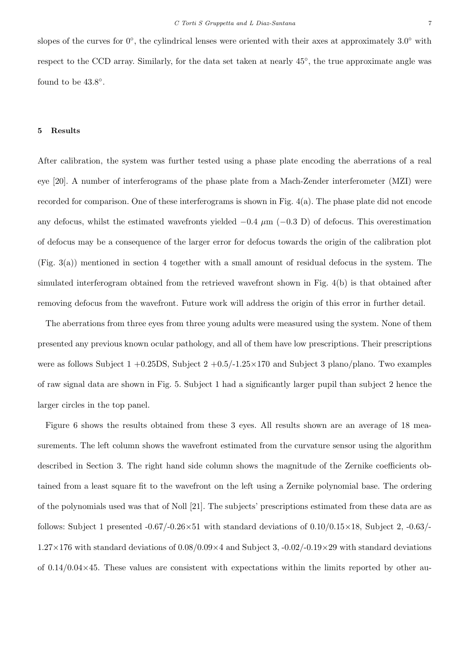slopes of the curves for  $0^\circ$ , the cylindrical lenses were oriented with their axes at approximately  $3.0^\circ$  with respect to the CCD array. Similarly, for the data set taken at nearly 45◦, the true approximate angle was found to be  $43.8^\circ$ .

#### **5 Results**

After calibration, the system was further tested using a phase plate encoding the aberrations of a real eye [20]. A number of interferograms of the phase plate from a Mach-Zender interferometer (MZI) were recorded for comparison. One of these interferograms is shown in Fig. 4(a). The phase plate did not encode any defocus, whilst the estimated wavefronts yielded  $-0.4 \mu m$  ( $-0.3 \text{ D}$ ) of defocus. This overestimation of defocus may be a consequence of the larger error for defocus towards the origin of the calibration plot (Fig. 3(a)) mentioned in section 4 together with a small amount of residual defocus in the system. The simulated interferogram obtained from the retrieved wavefront shown in Fig. 4(b) is that obtained after removing defocus from the wavefront. Future work will address the origin of this error in further detail.

The aberrations from three eyes from three young adults were measured using the system. None of them presented any previous known ocular pathology, and all of them have low prescriptions. Their prescriptions were as follows Subject  $1 + 0.25DS$ , Subject  $2 + 0.5/-1.25 \times 170$  and Subject 3 plano/plano. Two examples of raw signal data are shown in Fig. 5. Subject 1 had a significantly larger pupil than subject 2 hence the larger circles in the top panel.

Figure 6 shows the results obtained from these 3 eyes. All results shown are an average of 18 measurements. The left column shows the wavefront estimated from the curvature sensor using the algorithm described in Section 3. The right hand side column shows the magnitude of the Zernike coefficients obtained from a least square fit to the wavefront on the left using a Zernike polynomial base. The ordering of the polynomials used was that of Noll [21]. The subjects' prescriptions estimated from these data are as follows: Subject 1 presented  $-0.67/-0.26\times51$  with standard deviations of  $0.10/0.15\times18$ , Subject 2,  $-0.63/-0.65<sub>1</sub>$  $1.27\times176$  with standard deviations of  $0.08/0.09\times4$  and Subject 3,  $-0.02/-0.19\times29$  with standard deviations of  $0.14/0.04\times45$ . These values are consistent with expectations within the limits reported by other au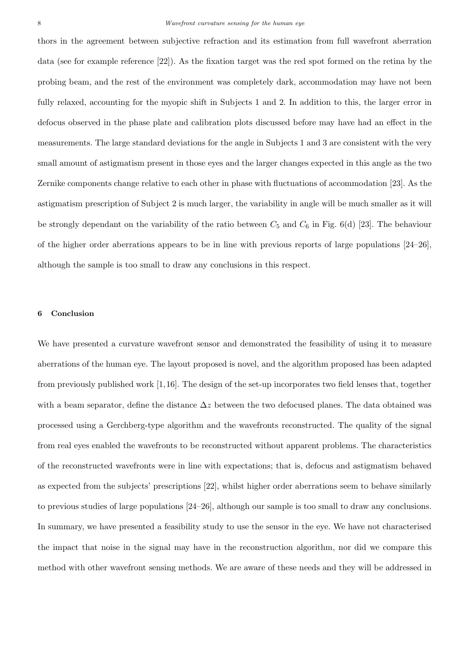thors in the agreement between subjective refraction and its estimation from full wavefront aberration data (see for example reference [22]). As the fixation target was the red spot formed on the retina by the probing beam, and the rest of the environment was completely dark, accommodation may have not been fully relaxed, accounting for the myopic shift in Subjects 1 and 2. In addition to this, the larger error in defocus observed in the phase plate and calibration plots discussed before may have had an effect in the measurements. The large standard deviations for the angle in Subjects 1 and 3 are consistent with the very small amount of astigmatism present in those eyes and the larger changes expected in this angle as the two Zernike components change relative to each other in phase with fluctuations of accommodation [23]. As the astigmatism prescription of Subject 2 is much larger, the variability in angle will be much smaller as it will be strongly dependant on the variability of the ratio between  $C_5$  and  $C_6$  in Fig. 6(d) [23]. The behaviour of the higher order aberrations appears to be in line with previous reports of large populations [24–26], although the sample is too small to draw any conclusions in this respect.

#### **6 Conclusion**

We have presented a curvature wavefront sensor and demonstrated the feasibility of using it to measure aberrations of the human eye. The layout proposed is novel, and the algorithm proposed has been adapted from previously published work [1,16]. The design of the set-up incorporates two field lenses that, together with a beam separator, define the distance  $\Delta z$  between the two defocused planes. The data obtained was processed using a Gerchberg-type algorithm and the wavefronts reconstructed. The quality of the signal from real eyes enabled the wavefronts to be reconstructed without apparent problems. The characteristics of the reconstructed wavefronts were in line with expectations; that is, defocus and astigmatism behaved as expected from the subjects' prescriptions [22], whilst higher order aberrations seem to behave similarly to previous studies of large populations [24–26], although our sample is too small to draw any conclusions. In summary, we have presented a feasibility study to use the sensor in the eye. We have not characterised the impact that noise in the signal may have in the reconstruction algorithm, nor did we compare this method with other wavefront sensing methods. We are aware of these needs and they will be addressed in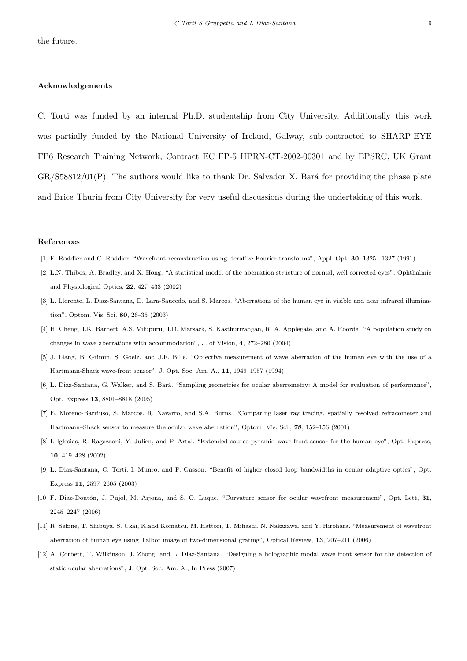#### **Acknowledgements**

C. Torti was funded by an internal Ph.D. studentship from City University. Additionally this work was partially funded by the National University of Ireland, Galway, sub-contracted to SHARP-EYE FP6 Research Training Network, Contract EC FP-5 HPRN-CT-2002-00301 and by EPSRC, UK Grant  $GR/S58812/01(P)$ . The authors would like to thank Dr. Salvador X. Bará for providing the phase plate and Brice Thurin from City University for very useful discussions during the undertaking of this work.

#### **References**

- [1] F. Roddier and C. Roddier. "Wavefront reconstruction using iterative Fourier transforms", Appl. Opt. **30**, 1325 –1327 (1991)
- [2] L.N. Thibos, A. Bradley, and X. Hong. "A statistical model of the aberration structure of normal, well corrected eyes", Ophthalmic and Physiological Optics, **22**, 427–433 (2002)
- [3] L. Llorente, L. Diaz-Santana, D. Lara-Saucedo, and S. Marcos. "Aberrations of the human eye in visible and near infrared illumination", Optom. Vis. Sci. **80**, 26–35 (2003)
- [4] H. Cheng, J.K. Barnett, A.S. Vilupuru, J.D. Marsack, S. Kasthurirangan, R. A. Applegate, and A. Roorda. "A population study on changes in wave aberrations with accommodation", J. of Vision, **4**, 272–280 (2004)
- [5] J. Liang, B. Grimm, S. Goelz, and J.F. Bille. "Objective measurement of wave aberration of the human eye with the use of a Hartmann-Shack wave-front sensor", J. Opt. Soc. Am. A., **11**, 1949–1957 (1994)
- [6] L. Diaz-Santana, G. Walker, and S. Bará. "Sampling geometries for ocular aberrometry: A model for evaluation of performance", Opt. Express **13**, 8801–8818 (2005)
- [7] E. Moreno-Barriuso, S. Marcos, R. Navarro, and S.A. Burns. "Comparing laser ray tracing, spatially resolved refracometer and Hartmann–Shack sensor to measure the ocular wave aberration", Optom. Vis. Sci., **78**, 152–156 (2001)
- [8] I. Iglesias, R. Ragazzoni, Y. Julien, and P. Artal. "Extended source pyramid wave-front sensor for the human eye", Opt. Express, **10**, 419–428 (2002)
- [9] L. Diaz-Santana, C. Torti, I. Munro, and P. Gasson. "Benefit of higher closed–loop bandwidths in ocular adaptive optics", Opt. Express **11**, 2597–2605 (2003)
- [10] F. Diaz-Doutón, J. Pujol, M. Arjona, and S. O. Luque. "Curvature sensor for ocular wavefront measurement", Opt. Lett, 31, 2245–2247 (2006)
- [11] R. Sekine, T. Shibuya, S. Ukai, K.and Komatsu, M. Hattori, T. Mihashi, N. Nakazawa, and Y. Hirohara. "Measurement of wavefront aberration of human eye using Talbot image of two-dimensional grating", Optical Review, **13**, 207–211 (2006)
- [12] A. Corbett, T. Wilkinson, J. Zhong, and L. Diaz-Santana. "Designing a holographic modal wave front sensor for the detection of static ocular aberrations", J. Opt. Soc. Am. A., In Press (2007)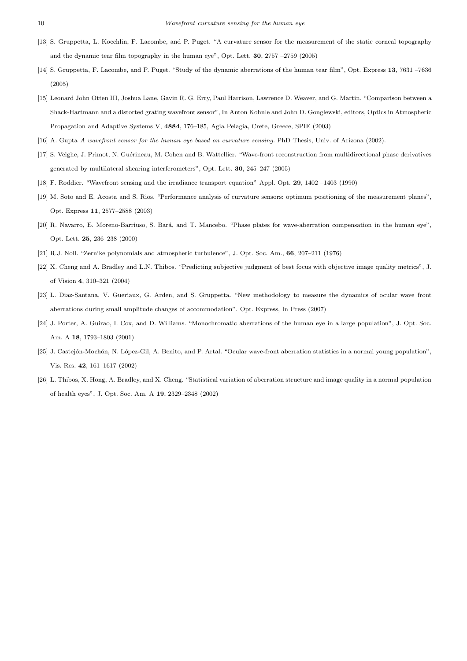- [13] S. Gruppetta, L. Koechlin, F. Lacombe, and P. Puget. "A curvature sensor for the measurement of the static corneal topography and the dynamic tear film topography in the human eye", Opt. Lett. **30**, 2757 –2759 (2005)
- [14] S. Gruppetta, F. Lacombe, and P. Puget. "Study of the dynamic aberrations of the human tear film", Opt. Express **13**, 7631 –7636 (2005)
- [15] Leonard John Otten III, Joshua Lane, Gavin R. G. Erry, Paul Harrison, Lawrence D. Weaver, and G. Martin. "Comparison between a Shack-Hartmann and a distorted grating wavefront sensor", In Anton Kohnle and John D. Gonglewski, editors, Optics in Atmospheric Propagation and Adaptive Systems V, **4884**, 176–185, Agia Pelagia, Crete, Greece, SPIE (2003)
- [16] A. Gupta *A wavefront sensor for the human eye based on curvature sensing.* PhD Thesis, Univ. of Arizona (2002).
- [17] S. Velghe, J. Primot, N. Guérineau, M. Cohen and B. Wattellier. "Wave-front reconstruction from multidirectional phase derivatives generated by multilateral shearing interferometers", Opt. Lett. **30**, 245–247 (2005)
- [18] F. Roddier. "Wavefront sensing and the irradiance transport equation" Appl. Opt. **29**, 1402 –1403 (1990)
- [19] M. Soto and E. Acosta and S. Rios. "Performance analysis of curvature sensors: optimum positioning of the measurement planes", Opt. Express **11**, 2577–2588 (2003)
- [20] R. Navarro, E. Moreno-Barriuso, S. Bará, and T. Mancebo. "Phase plates for wave-aberration compensation in the human eye", Opt. Lett. **25**, 236–238 (2000)
- [21] R.J. Noll. "Zernike polynomials and atmospheric turbulence", J. Opt. Soc. Am., **66**, 207–211 (1976)
- [22] X. Cheng and A. Bradley and L.N. Thibos. "Predicting subjective judgment of best focus with objective image quality metrics", J. of Vision **4**, 310–321 (2004)
- [23] L. Diaz-Santana, V. Gueriaux, G. Arden, and S. Gruppetta. "New methodology to measure the dynamics of ocular wave front aberrations during small amplitude changes of accommodation". Opt. Express, In Press (2007)
- [24] J. Porter, A. Guirao, I. Cox, and D. Williams. "Monochromatic aberrations of the human eye in a large population", J. Opt. Soc. Am. A **18**, 1793–1803 (2001)
- [25] J. Castejón-Mochón, N. López-Gil, A. Benito, and P. Artal. "Ocular wave-front aberration statistics in a normal young population", Vis. Res. **42**, 161–1617 (2002)
- [26] L. Thibos, X. Hong, A. Bradley, and X. Cheng. "Statistical variation of aberration structure and image quality in a normal population of health eyes", J. Opt. Soc. Am. A **19**, 2329–2348 (2002)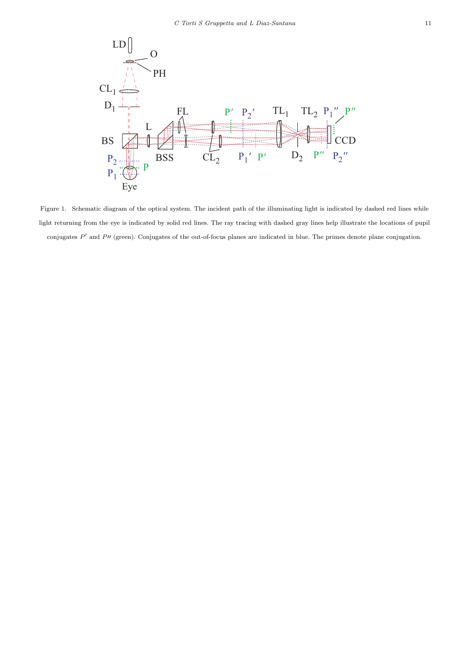

Figure 1. Schematic diagram of the optical system. The incident path of the illuminating light is indicated by dashed red lines while light returning from the eye is indicated by solid red lines. The ray tracing with dashed gray lines help illustrate the locations of pupil conjugates *P*<sup>'</sup> and *P*<sup>'</sup> (green). Conjugates of the out-of-focus planes are indicated in blue. The primes denote plane conjugation.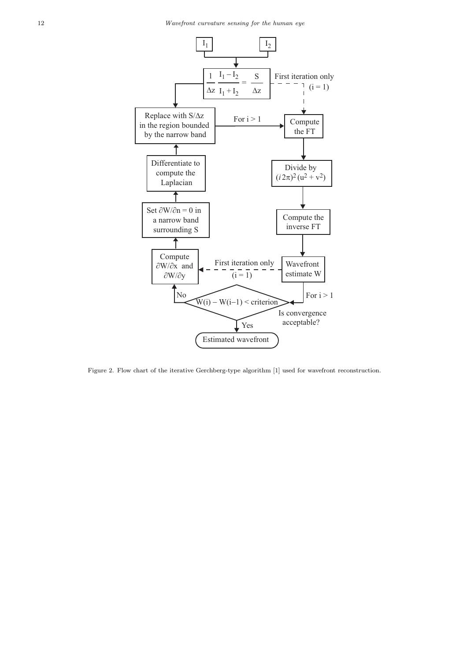

Figure 2. Flow chart of the iterative Gerchberg-type algorithm [1] used for wavefront reconstruction.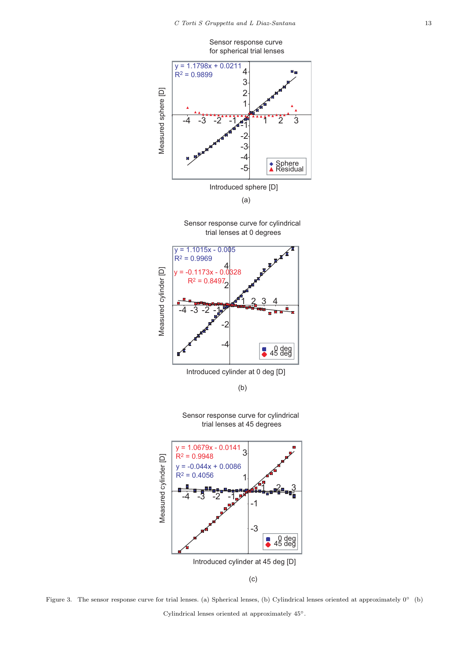

Figure 3. The sensor response curve for trial lenses. (a) Spherical lenses, (b) Cylindrical lenses oriented at approximately 0◦ (b) Cylindrical lenses oriented at approximately 45◦.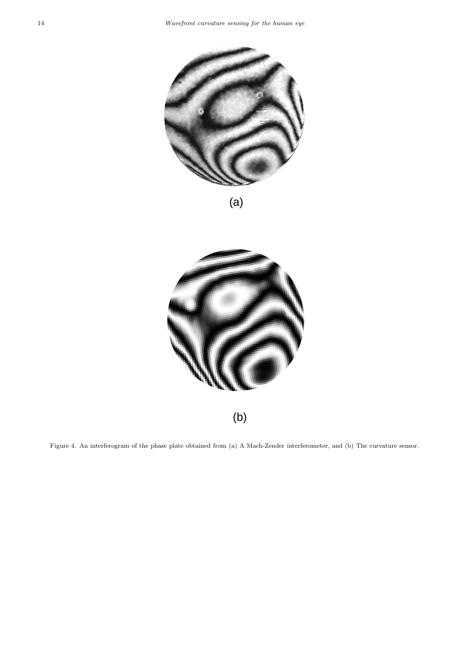

(a)



Figure 4. An interferogram of the phase plate obtained from (a) A Mach-Zender interferometer, and (b) The curvature sensor.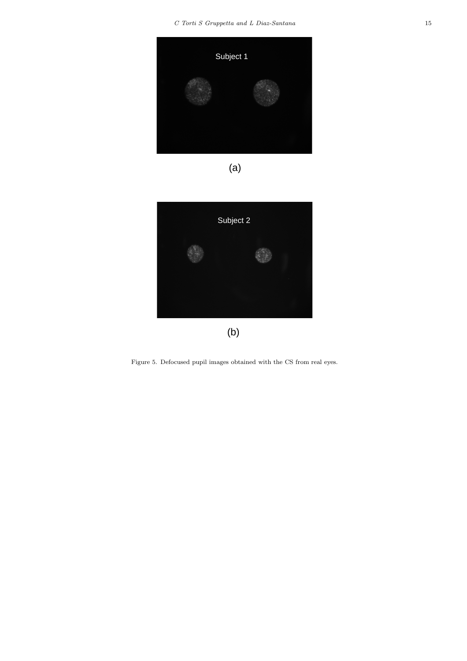

(a)



Figure 5. Defocused pupil images obtained with the CS from real eyes.